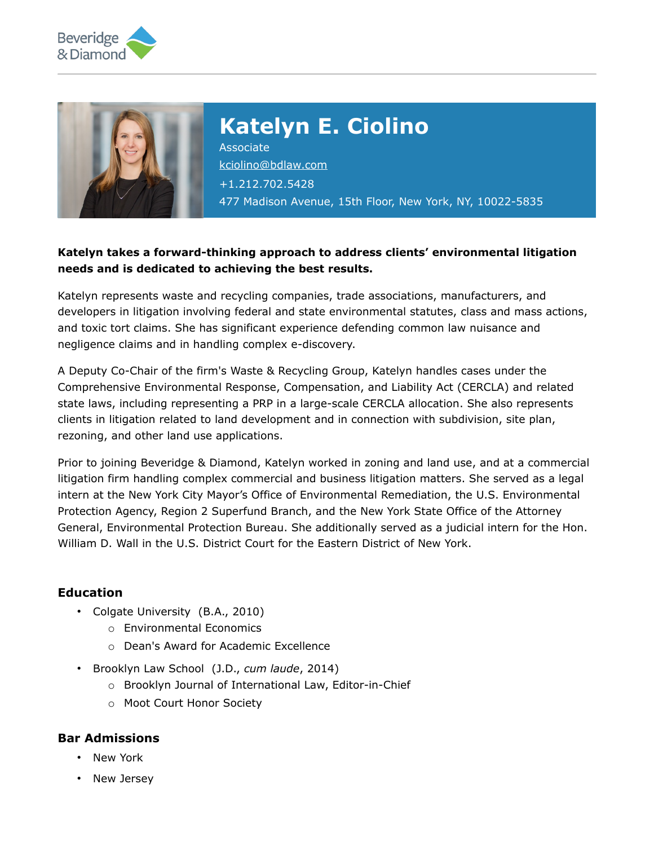



# **Katelyn E. Ciolino**

Associate [kciolino@bdlaw.com](mailto:kciolino@bdlaw.com) +1.212.702.5428 477 Madison Avenue, 15th Floor, New York, NY, 10022-5835

## **Katelyn takes a forward-thinking approach to address clients' environmental litigation needs and is dedicated to achieving the best results.**

Katelyn represents waste and recycling companies, trade associations, manufacturers, and developers in litigation involving federal and state environmental statutes, class and mass actions, and toxic tort claims. She has significant experience defending common law nuisance and negligence claims and in handling complex e-discovery.

A Deputy Co-Chair of the firm's Waste & Recycling Group, Katelyn handles cases under the Comprehensive Environmental Response, Compensation, and Liability Act (CERCLA) and related state laws, including representing a PRP in a large-scale CERCLA allocation. She also represents clients in litigation related to land development and in connection with subdivision, site plan, rezoning, and other land use applications.

Prior to joining Beveridge & Diamond, Katelyn worked in zoning and land use, and at a commercial litigation firm handling complex commercial and business litigation matters. She served as a legal intern at the New York City Mayor's Office of Environmental Remediation, the U.S. Environmental Protection Agency, Region 2 Superfund Branch, and the New York State Office of the Attorney General, Environmental Protection Bureau. She additionally served as a judicial intern for the Hon. William D. Wall in the U.S. District Court for the Eastern District of New York.

### **Education**

- Colgate University (B.A., 2010)
	- o Environmental Economics
	- o Dean's Award for Academic Excellence
- Brooklyn Law School (J.D., *cum laude*, 2014)
	- o Brooklyn Journal of International Law, Editor-in-Chief
	- o Moot Court Honor Society

#### **Bar Admissions**

- New York
- New Jersey